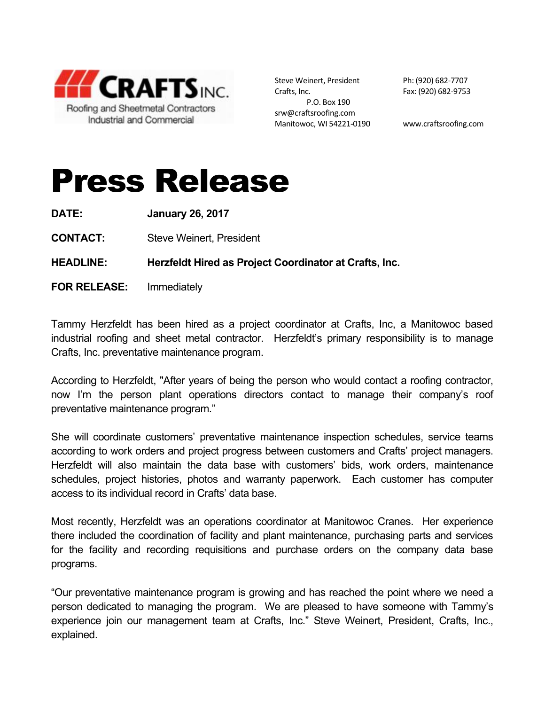

Steve Weinert, President Ph: (920) 682-7707 Crafts, Inc. 682-9753 P.O. Box 190 srw@craftsroofing.com Manitowoc, WI 54221-0190 www.craftsroofing.com

## Press Release

**DATE: January 26, 2017**

**CONTACT:** Steve Weinert, President

**HEADLINE: Herzfeldt Hired as Project Coordinator at Crafts, Inc.**

**FOR RELEASE:** Immediately

Tammy Herzfeldt has been hired as a project coordinator at Crafts, Inc, a Manitowoc based industrial roofing and sheet metal contractor. Herzfeldt's primary responsibility is to manage Crafts, Inc. preventative maintenance program.

According to Herzfeldt, "After years of being the person who would contact a roofing contractor, now I'm the person plant operations directors contact to manage their company's roof preventative maintenance program."

She will coordinate customers' preventative maintenance inspection schedules, service teams according to work orders and project progress between customers and Crafts' project managers. Herzfeldt will also maintain the data base with customers' bids, work orders, maintenance schedules, project histories, photos and warranty paperwork. Each customer has computer access to its individual record in Crafts' data base.

Most recently, Herzfeldt was an operations coordinator at Manitowoc Cranes. Her experience there included the coordination of facility and plant maintenance, purchasing parts and services for the facility and recording requisitions and purchase orders on the company data base programs.

"Our preventative maintenance program is growing and has reached the point where we need a person dedicated to managing the program. We are pleased to have someone with Tammy's experience join our management team at Crafts, Inc." Steve Weinert, President, Crafts, Inc., explained.